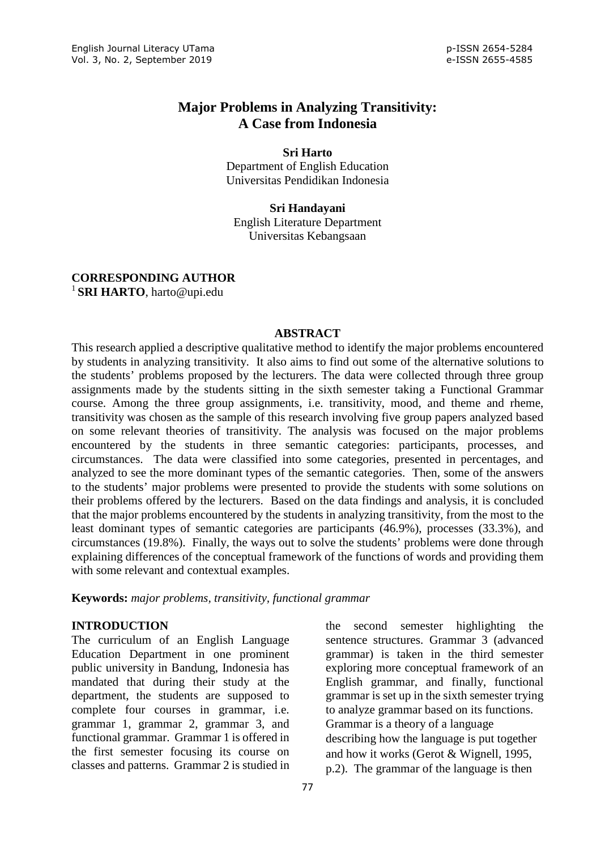# **Major Problems in Analyzing Transitivity: A Case from Indonesia**

**Sri Harto** Department of English Education Universitas Pendidikan Indonesia

**Sri Handayani** English Literature Department Universitas Kebangsaan

#### **CORRESPONDING AUTHOR**

<sup>1</sup>**SRI HARTO**, harto@upi.edu

#### **ABSTRACT**

This research applied a descriptive qualitative method to identify the major problems encountered by students in analyzing transitivity. It also aims to find out some of the alternative solutions to the students' problems proposed by the lecturers. The data were collected through three group assignments made by the students sitting in the sixth semester taking a Functional Grammar course. Among the three group assignments, i.e. transitivity, mood, and theme and rheme, transitivity was chosen as the sample of this research involving five group papers analyzed based on some relevant theories of transitivity. The analysis was focused on the major problems encountered by the students in three semantic categories: participants, processes, and circumstances. The data were classified into some categories, presented in percentages, and analyzed to see the more dominant types of the semantic categories. Then, some of the answers to the students' major problems were presented to provide the students with some solutions on their problems offered by the lecturers. Based on the data findings and analysis, it is concluded that the major problems encountered by the students in analyzing transitivity, from the most to the least dominant types of semantic categories are participants (46.9%), processes (33.3%), and circumstances (19.8%). Finally, the ways out to solve the students' problems were done through explaining differences of the conceptual framework of the functions of words and providing them with some relevant and contextual examples.

**Keywords:** *major problems, transitivity, functional grammar* 

#### **INTRODUCTION**

The curriculum of an English Language Education Department in one prominent public university in Bandung, Indonesia has mandated that during their study at the department, the students are supposed to complete four courses in grammar, i.e. grammar 1, grammar 2, grammar 3, and functional grammar. Grammar 1 is offered in the first semester focusing its course on classes and patterns. Grammar 2 is studied in

the second semester highlighting the sentence structures. Grammar 3 (advanced grammar) is taken in the third semester exploring more conceptual framework of an English grammar, and finally, functional grammar is set up in the sixth semester trying to analyze grammar based on its functions. Grammar is a theory of a language describing how the language is put together and how it works (Gerot & Wignell, 1995, p.2). The grammar of the language is then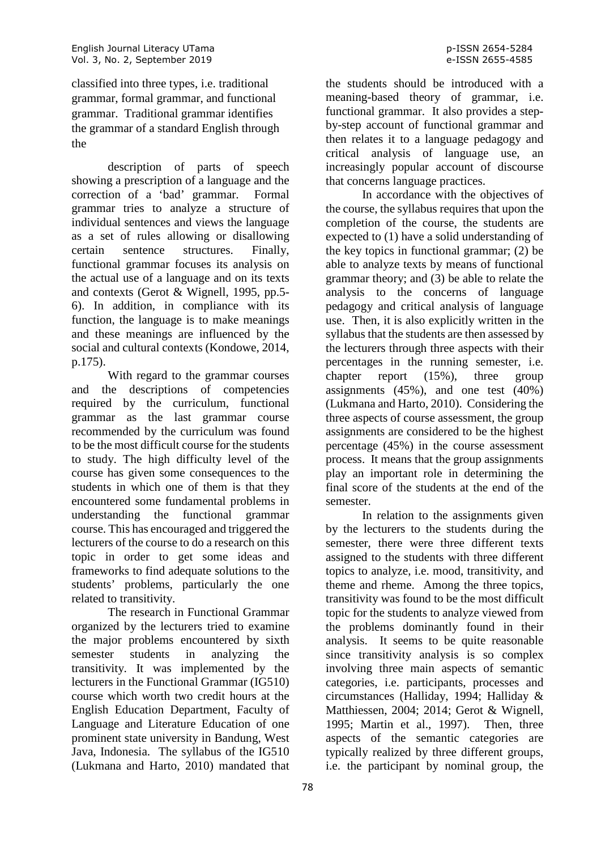classified into three types, i.e. traditional grammar, formal grammar, and functional grammar. Traditional grammar identifies the grammar of a standard English through the

description of parts of speech showing a prescription of a language and the correction of a 'bad' grammar. Formal grammar tries to analyze a structure of individual sentences and views the language as a set of rules allowing or disallowing certain sentence structures. Finally, functional grammar focuses its analysis on the actual use of a language and on its texts and contexts (Gerot & Wignell, 1995, pp.5- 6). In addition, in compliance with its function, the language is to make meanings and these meanings are influenced by the social and cultural contexts (Kondowe, 2014, p.175).

With regard to the grammar courses and the descriptions of competencies required by the curriculum, functional grammar as the last grammar course recommended by the curriculum was found to be the most difficult course for the students to study. The high difficulty level of the course has given some consequences to the students in which one of them is that they encountered some fundamental problems in understanding the functional grammar course. This has encouraged and triggered the lecturers of the course to do a research on this topic in order to get some ideas and frameworks to find adequate solutions to the students' problems, particularly the one related to transitivity.

The research in Functional Grammar organized by the lecturers tried to examine the major problems encountered by sixth semester students in analyzing the transitivity. It was implemented by the lecturers in the Functional Grammar (IG510) course which worth two credit hours at the English Education Department, Faculty of Language and Literature Education of one prominent state university in Bandung, West Java, Indonesia. The syllabus of the IG510 (Lukmana and Harto, 2010) mandated that

the students should be introduced with a meaning-based theory of grammar, i.e. functional grammar. It also provides a stepby-step account of functional grammar and then relates it to a language pedagogy and critical analysis of language use, an increasingly popular account of discourse that concerns language practices.

In accordance with the objectives of the course, the syllabus requires that upon the completion of the course, the students are expected to (1) have a solid understanding of the key topics in functional grammar; (2) be able to analyze texts by means of functional grammar theory; and (3) be able to relate the analysis to the concerns of language pedagogy and critical analysis of language use. Then, it is also explicitly written in the syllabus that the students are then assessed by the lecturers through three aspects with their percentages in the running semester, i.e. chapter report (15%), three group assignments  $(45\%)$ , and one test  $(40\%)$ (Lukmana and Harto, 2010). Considering the three aspects of course assessment, the group assignments are considered to be the highest percentage (45%) in the course assessment process. It means that the group assignments play an important role in determining the final score of the students at the end of the semester.

In relation to the assignments given by the lecturers to the students during the semester, there were three different texts assigned to the students with three different topics to analyze, i.e. mood, transitivity, and theme and rheme. Among the three topics, transitivity was found to be the most difficult topic for the students to analyze viewed from the problems dominantly found in their analysis. It seems to be quite reasonable since transitivity analysis is so complex involving three main aspects of semantic categories, i.e. participants, processes and circumstances (Halliday, 1994; Halliday & Matthiessen, 2004; 2014; Gerot & Wignell, 1995; Martin et al., 1997). Then, three aspects of the semantic categories are typically realized by three different groups, i.e. the participant by nominal group, the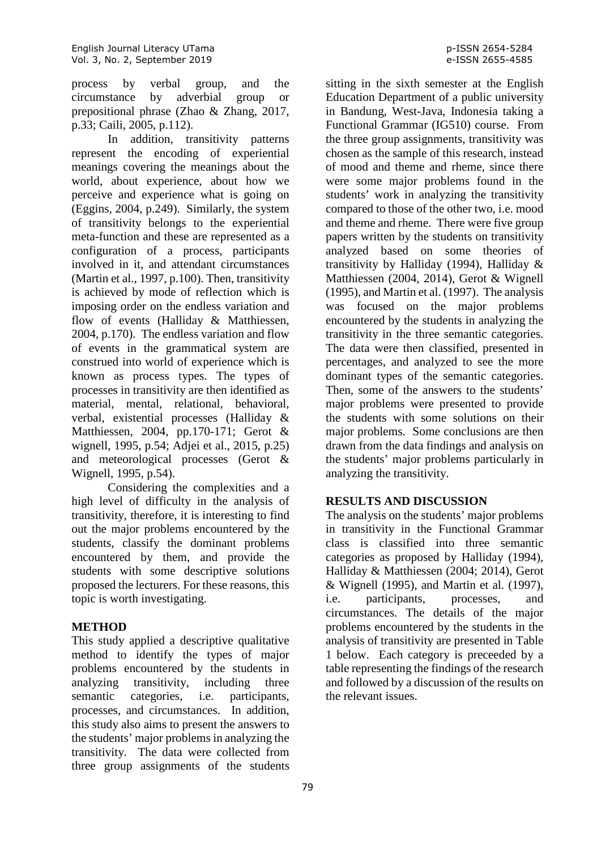process by verbal group, and the circumstance by adverbial group or prepositional phrase (Zhao & Zhang, 2017, p.33; Caili, 2005, p.112).

In addition, transitivity patterns represent the encoding of experiential meanings covering the meanings about the world, about experience, about how we perceive and experience what is going on (Eggins, 2004, p.249). Similarly, the system of transitivity belongs to the experiential meta-function and these are represented as a configuration of a process, participants involved in it, and attendant circumstances (Martin et al., 1997, p.100). Then, transitivity is achieved by mode of reflection which is imposing order on the endless variation and flow of events (Halliday & Matthiessen, 2004, p.170). The endless variation and flow of events in the grammatical system are construed into world of experience which is known as process types. The types of processes in transitivity are then identified as material, mental, relational, behavioral, verbal, existential processes (Halliday & Matthiessen, 2004, pp.170-171; Gerot & wignell, 1995, p.54; Adjei et al., 2015, p.25) and meteorological processes (Gerot & Wignell, 1995, p.54).

Considering the complexities and a high level of difficulty in the analysis of transitivity, therefore, it is interesting to find out the major problems encountered by the students, classify the dominant problems encountered by them, and provide the students with some descriptive solutions proposed the lecturers. For these reasons, this topic is worth investigating.

### **METHOD**

This study applied a descriptive qualitative method to identify the types of major problems encountered by the students in analyzing transitivity, including three semantic categories, i.e. participants, processes, and circumstances. In addition, this study also aims to present the answers to the students' major problems in analyzing the transitivity. The data were collected from three group assignments of the students

sitting in the sixth semester at the English Education Department of a public university in Bandung, West-Java, Indonesia taking a Functional Grammar (IG510) course. From the three group assignments, transitivity was chosen as the sample of this research, instead of mood and theme and rheme, since there were some major problems found in the students' work in analyzing the transitivity compared to those of the other two, i.e. mood and theme and rheme. There were five group papers written by the students on transitivity analyzed based on some theories of transitivity by Halliday (1994), Halliday & Matthiessen (2004, 2014), Gerot & Wignell (1995), and Martin et al. (1997). The analysis was focused on the major problems encountered by the students in analyzing the transitivity in the three semantic categories. The data were then classified, presented in percentages, and analyzed to see the more dominant types of the semantic categories. Then, some of the answers to the students' major problems were presented to provide the students with some solutions on their major problems. Some conclusions are then drawn from the data findings and analysis on the students' major problems particularly in analyzing the transitivity.

### **RESULTS AND DISCUSSION**

The analysis on the students' major problems in transitivity in the Functional Grammar class is classified into three semantic categories as proposed by Halliday (1994), Halliday & Matthiessen (2004; 2014), Gerot & Wignell (1995), and Martin et al. (1997), i.e. participants, processes, and circumstances. The details of the major problems encountered by the students in the analysis of transitivity are presented in Table 1 below. Each category is preceeded by a table representing the findings of the research and followed by a discussion of the results on the relevant issues.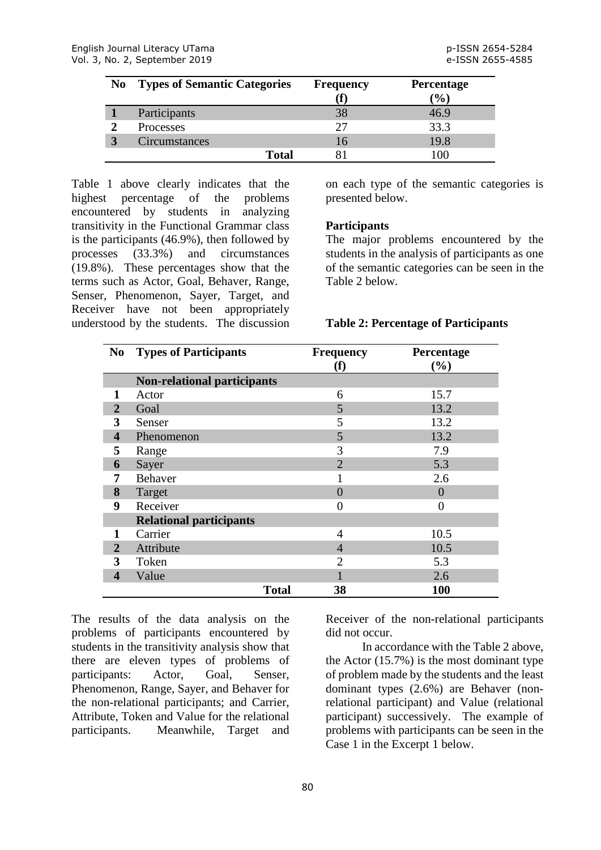| N <sub>0</sub> | <b>Types of Semantic Categories</b> | <b>Frequency</b> | Percentage       |  |
|----------------|-------------------------------------|------------------|------------------|--|
|                |                                     |                  | $\mathcal{O}(6)$ |  |
|                | Participants                        | 38               | 46.9             |  |
|                | Processes                           |                  | 33.3             |  |
| 3              | Circumstances                       | 16               | 19.8             |  |
|                | <b>Total</b>                        |                  | 100              |  |

Table 1 above clearly indicates that the highest percentage of the problems encountered by students in analyzing transitivity in the Functional Grammar class is the participants (46.9%), then followed by processes (33.3%) and circumstances (19.8%). These percentages show that the terms such as Actor, Goal, Behaver, Range, Senser, Phenomenon, Sayer, Target, and Receiver have not been appropriately understood by the students. The discussion on each type of the semantic categories is presented below.

#### **Participants**

The major problems encountered by the students in the analysis of participants as one of the semantic categories can be seen in the Table 2 below.

#### **Table 2: Percentage of Participants**

| N <sub>0</sub>          | <b>Types of Participants</b>       | <b>Frequency</b>   | Percentage |
|-------------------------|------------------------------------|--------------------|------------|
|                         |                                    | (f)                | (%)        |
|                         | <b>Non-relational participants</b> |                    |            |
|                         | Actor                              | 6                  | 15.7       |
| $\overline{2}$          | Goal                               | 5                  | 13.2       |
| 3                       | Senser                             | 5                  | 13.2       |
| $\overline{\mathbf{4}}$ | Phenomenon                         | 5                  | 13.2       |
| 5                       | Range                              | 3                  | 7.9        |
| 6                       | Sayer                              | $\overline{2}$     | 5.3        |
| 7                       | Behaver                            |                    | 2.6        |
| 8                       | Target                             | 0                  | 0          |
| 9                       | Receiver                           | 0                  | 0          |
|                         | <b>Relational participants</b>     |                    |            |
| 1                       | Carrier                            | $\overline{4}$     | 10.5       |
| $\overline{2}$          | Attribute                          | $\overline{4}$     | 10.5       |
| 3                       | Token                              | $\overline{2}$     | 5.3        |
| 4                       | Value                              |                    | 2.6        |
|                         |                                    | 38<br><b>Total</b> | 100        |

The results of the data analysis on the problems of participants encountered by students in the transitivity analysis show that there are eleven types of problems of participants: Actor, Goal, Senser, Phenomenon, Range, Sayer, and Behaver for the non-relational participants; and Carrier, Attribute, Token and Value for the relational participants. Meanwhile, Target and

Receiver of the non-relational participants did not occur.

In accordance with the Table 2 above, the Actor (15.7%) is the most dominant type of problem made by the students and the least dominant types (2.6%) are Behaver (nonrelational participant) and Value (relational participant) successively. The example of problems with participants can be seen in the Case 1 in the Excerpt 1 below.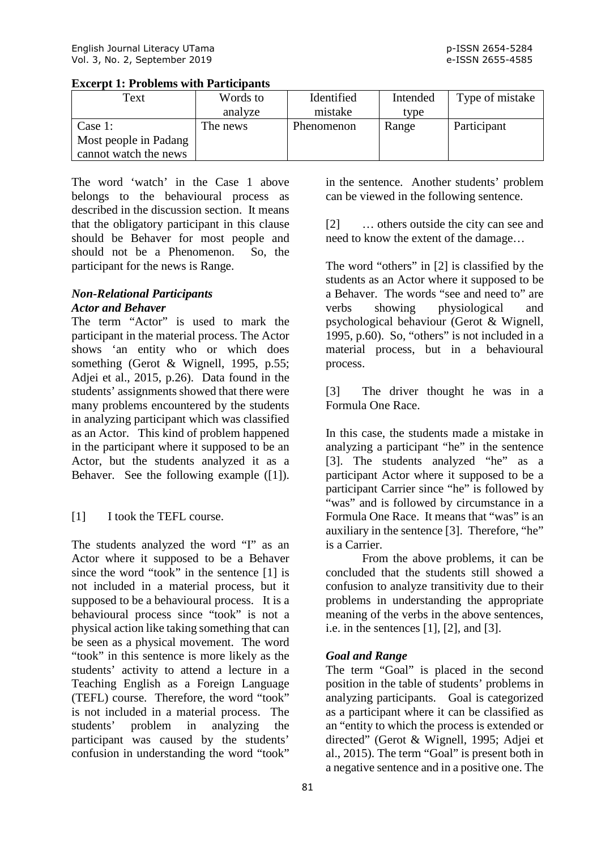| Text                  | Words to | Identified | Intended | Type of mistake |
|-----------------------|----------|------------|----------|-----------------|
|                       | analyze  | mistake    | type     |                 |
| Case $1$ :            | The news | Phenomenon | Range    | Participant     |
| Most people in Padang |          |            |          |                 |
| cannot watch the news |          |            |          |                 |

## **Excerpt 1: Problems with Participants**

The word 'watch' in the Case 1 above belongs to the behavioural process as described in the discussion section. It means that the obligatory participant in this clause should be Behaver for most people and should not be a Phenomenon. So, the participant for the news is Range.

# *Non-Relational Participants*

## *Actor and Behaver*

The term "Actor" is used to mark the participant in the material process. The Actor shows 'an entity who or which does something (Gerot & Wignell, 1995, p.55; Adjei et al., 2015, p.26). Data found in the students' assignments showed that there were many problems encountered by the students in analyzing participant which was classified as an Actor. This kind of problem happened in the participant where it supposed to be an Actor, but the students analyzed it as a Behaver. See the following example ([1]).

# [1] I took the TEFL course.

The students analyzed the word "I" as an Actor where it supposed to be a Behaver since the word "took" in the sentence [1] is not included in a material process, but it supposed to be a behavioural process. It is a behavioural process since "took" is not a physical action like taking something that can be seen as a physical movement. The word "took" in this sentence is more likely as the students' activity to attend a lecture in a Teaching English as a Foreign Language (TEFL) course. Therefore, the word "took" is not included in a material process. The students' problem in analyzing the participant was caused by the students' confusion in understanding the word "took"

in the sentence. Another students' problem can be viewed in the following sentence.

[2] … others outside the city can see and need to know the extent of the damage…

The word "others" in [2] is classified by the students as an Actor where it supposed to be a Behaver. The words "see and need to" are verbs showing physiological and psychological behaviour (Gerot & Wignell, 1995, p.60). So, "others" is not included in a material process, but in a behavioural process.

[3] The driver thought he was in a Formula One Race.

In this case, the students made a mistake in analyzing a participant "he" in the sentence [3]. The students analyzed "he" as a participant Actor where it supposed to be a participant Carrier since "he" is followed by "was" and is followed by circumstance in a Formula One Race. It means that "was" is an auxiliary in the sentence [3]. Therefore, "he" is a Carrier.

From the above problems, it can be concluded that the students still showed a confusion to analyze transitivity due to their problems in understanding the appropriate meaning of the verbs in the above sentences, i.e. in the sentences [1], [2], and [3].

# *Goal and Range*

The term "Goal" is placed in the second position in the table of students' problems in analyzing participants. Goal is categorized as a participant where it can be classified as an "entity to which the process is extended or directed" (Gerot & Wignell, 1995; Adjei et al., 2015). The term "Goal" is present both in a negative sentence and in a positive one. The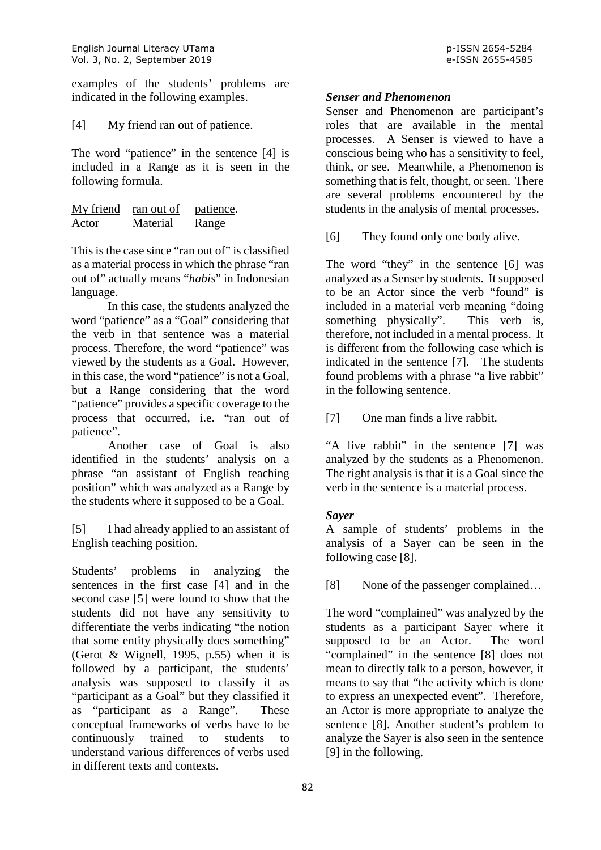examples of the students' problems are indicated in the following examples.

[4] My friend ran out of patience.

The word "patience" in the sentence [4] is included in a Range as it is seen in the following formula.

| My friend | ran out of | patience. |
|-----------|------------|-----------|
| Actor     | Material   | Range     |

This is the case since "ran out of" is classified as a material process in which the phrase "ran out of" actually means "*habis*" in Indonesian language.

In this case, the students analyzed the word "patience" as a "Goal" considering that the verb in that sentence was a material process. Therefore, the word "patience" was viewed by the students as a Goal. However, in this case, the word "patience" is not a Goal, but a Range considering that the word "patience" provides a specific coverage to the process that occurred, i.e. "ran out of patience".

Another case of Goal is also identified in the students' analysis on a phrase "an assistant of English teaching position" which was analyzed as a Range by the students where it supposed to be a Goal.

[5] I had already applied to an assistant of English teaching position.

Students' problems in analyzing the sentences in the first case [4] and in the second case [5] were found to show that the students did not have any sensitivity to differentiate the verbs indicating "the notion that some entity physically does something" (Gerot & Wignell, 1995, p.55) when it is followed by a participant, the students' analysis was supposed to classify it as "participant as a Goal" but they classified it as "participant as a Range". These conceptual frameworks of verbs have to be continuously trained to students to understand various differences of verbs used in different texts and contexts.

## *Senser and Phenomenon*

Senser and Phenomenon are participant's roles that are available in the mental processes. A Senser is viewed to have a conscious being who has a sensitivity to feel, think, or see. Meanwhile, a Phenomenon is something that is felt, thought, or seen. There are several problems encountered by the students in the analysis of mental processes.

[6] They found only one body alive.

The word "they" in the sentence [6] was analyzed as a Senser by students. It supposed to be an Actor since the verb "found" is included in a material verb meaning "doing something physically". This verb is, therefore, not included in a mental process. It is different from the following case which is indicated in the sentence [7]. The students found problems with a phrase "a live rabbit" in the following sentence.

"A live rabbit" in the sentence [7] was analyzed by the students as a Phenomenon. The right analysis is that it is a Goal since the verb in the sentence is a material process.

# *Sayer*

A sample of students' problems in the analysis of a Sayer can be seen in the following case [8].

[8] None of the passenger complained...

The word "complained" was analyzed by the students as a participant Sayer where it supposed to be an Actor. The word "complained" in the sentence [8] does not mean to directly talk to a person, however, it means to say that "the activity which is done to express an unexpected event". Therefore, an Actor is more appropriate to analyze the sentence [8]. Another student's problem to analyze the Sayer is also seen in the sentence [9] in the following.

<sup>[7]</sup> One man finds a live rabbit.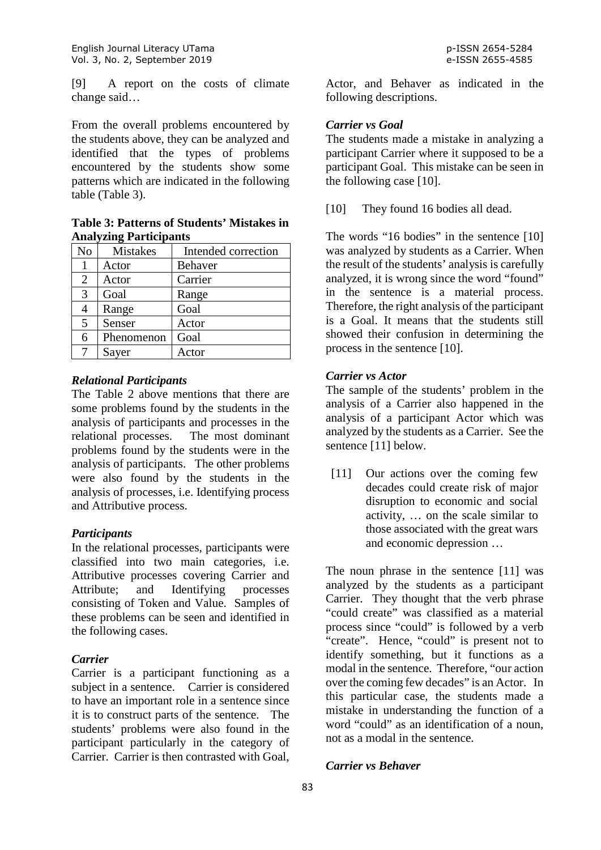[9] A report on the costs of climate change said…

From the overall problems encountered by the students above, they can be analyzed and identified that the types of problems encountered by the students show some patterns which are indicated in the following table (Table 3).

**Table 3: Patterns of Students' Mistakes in Analyzing Participants** 

| No | <b>Mistakes</b> | Intended correction |
|----|-----------------|---------------------|
|    | Actor           | <b>Behaver</b>      |
| 2  | Actor           | Carrier             |
| 3  | Goal            | Range               |
|    | Range           | Goal                |
| 5  | Senser          | Actor               |
| 6  | Phenomenon      | Goal                |
|    | Sayer           | Actor               |

## *Relational Participants*

The Table 2 above mentions that there are some problems found by the students in the analysis of participants and processes in the relational processes. The most dominant problems found by the students were in the analysis of participants. The other problems were also found by the students in the analysis of processes, i.e. Identifying process and Attributive process.

### *Participants*

In the relational processes, participants were classified into two main categories, i.e. Attributive processes covering Carrier and Attribute; and Identifying processes consisting of Token and Value. Samples of these problems can be seen and identified in the following cases.

### *Carrier*

Carrier is a participant functioning as a subject in a sentence. Carrier is considered to have an important role in a sentence since it is to construct parts of the sentence. The students' problems were also found in the participant particularly in the category of Carrier. Carrier is then contrasted with Goal,

Actor, and Behaver as indicated in the following descriptions.

# *Carrier vs Goal*

The students made a mistake in analyzing a participant Carrier where it supposed to be a participant Goal. This mistake can be seen in the following case [10].

[10] They found 16 bodies all dead.

The words "16 bodies" in the sentence [10] was analyzed by students as a Carrier. When the result of the students' analysis is carefully analyzed, it is wrong since the word "found" in the sentence is a material process. Therefore, the right analysis of the participant is a Goal. It means that the students still showed their confusion in determining the process in the sentence [10].

## *Carrier vs Actor*

The sample of the students' problem in the analysis of a Carrier also happened in the analysis of a participant Actor which was analyzed by the students as a Carrier. See the sentence [11] below.

[11] Our actions over the coming few decades could create risk of major disruption to economic and social activity, … on the scale similar to those associated with the great wars and economic depression …

The noun phrase in the sentence [11] was analyzed by the students as a participant Carrier. They thought that the verb phrase "could create" was classified as a material process since "could" is followed by a verb "create". Hence, "could" is present not to identify something, but it functions as a modal in the sentence. Therefore, "our action over the coming few decades" is an Actor. In this particular case, the students made a mistake in understanding the function of a word "could" as an identification of a noun, not as a modal in the sentence.

# *Carrier vs Behaver*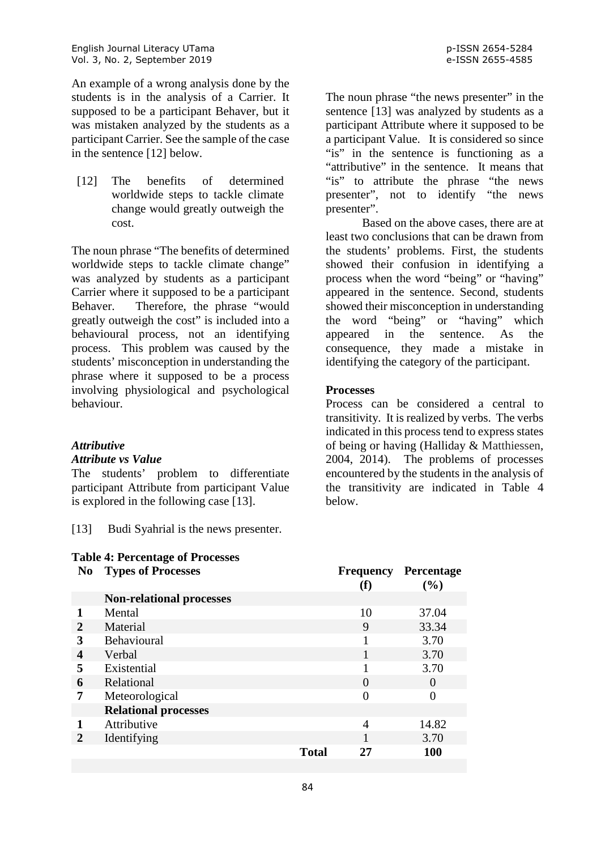An example of a wrong analysis done by the students is in the analysis of a Carrier. It supposed to be a participant Behaver, but it was mistaken analyzed by the students as a participant Carrier. See the sample of the case in the sentence [12] below.

[12] The benefits of determined worldwide steps to tackle climate change would greatly outweigh the cost.

The noun phrase "The benefits of determined worldwide steps to tackle climate change" was analyzed by students as a participant Carrier where it supposed to be a participant Behaver. Therefore, the phrase "would greatly outweigh the cost" is included into a behavioural process, not an identifying process. This problem was caused by the students' misconception in understanding the phrase where it supposed to be a process involving physiological and psychological behaviour.

### *Attributive*

### *Attribute vs Value*

The students' problem to differentiate participant Attribute from participant Value is explored in the following case [13].

[13] Budi Syahrial is the news presenter.

# **Table 4: Percentage of Processes**

The noun phrase "the news presenter" in the sentence [13] was analyzed by students as a participant Attribute where it supposed to be a participant Value. It is considered so since "is" in the sentence is functioning as a "attributive" in the sentence. It means that "is" to attribute the phrase "the news presenter", not to identify "the news presenter".

Based on the above cases, there are at least two conclusions that can be drawn from the students' problems. First, the students showed their confusion in identifying a process when the word "being" or "having" appeared in the sentence. Second, students showed their misconception in understanding the word "being" or "having" which appeared in the sentence. As the consequence, they made a mistake in identifying the category of the participant.

## **Processes**

Process can be considered a central to transitivity. It is realized by verbs. The verbs indicated in this process tend to express states of being or having (Halliday & Matthiessen, 2004, 2014). The problems of processes encountered by the students in the analysis of the transitivity are indicated in Table 4 below.

|                | Tuble is a contage of Frocesses |              |                         |                      |
|----------------|---------------------------------|--------------|-------------------------|----------------------|
| N <sub>0</sub> | <b>Types of Processes</b>       |              | <b>Frequency</b><br>(f) | Percentage<br>$(\%)$ |
|                | <b>Non-relational processes</b> |              |                         |                      |
|                | Mental                          |              | 10                      | 37.04                |
| $\overline{2}$ | Material                        |              | 9                       | 33.34                |
| 3              | Behavioural                     |              |                         | 3.70                 |
| 4              | Verbal                          |              |                         | 3.70                 |
| 5              | Existential                     |              |                         | 3.70                 |
| 6              | Relational                      |              | $\theta$                | $\Omega$             |
| 7              | Meteorological                  |              |                         | $\theta$             |
|                | <b>Relational processes</b>     |              |                         |                      |
|                | Attributive                     |              | 4                       | 14.82                |
| 2              | Identifying                     |              |                         | 3.70                 |
|                |                                 | <b>Total</b> | 27                      | <b>100</b>           |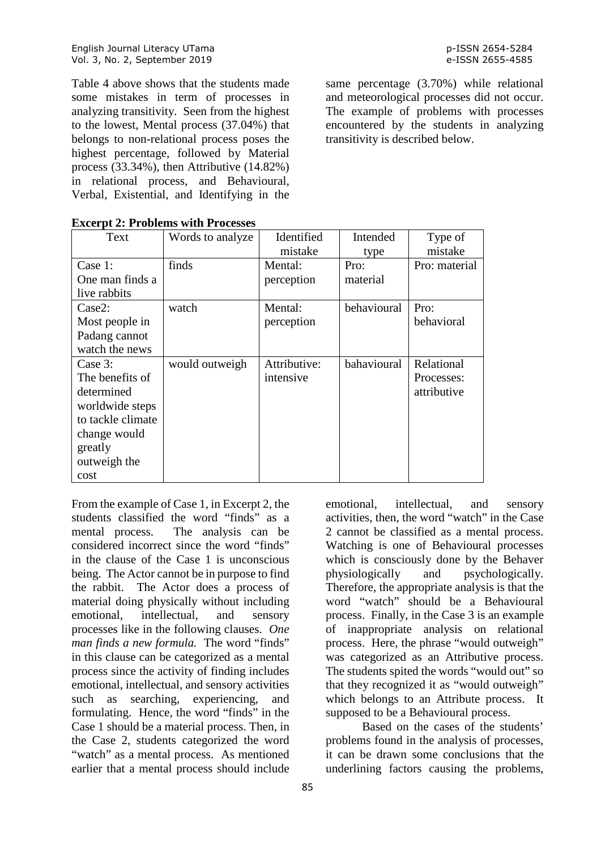Table 4 above shows that the students made some mistakes in term of processes in analyzing transitivity. Seen from the highest to the lowest, Mental process (37.04%) that belongs to non-relational process poses the highest percentage, followed by Material process (33.34%), then Attributive (14.82%) in relational process, and Behavioural, Verbal, Existential, and Identifying in the same percentage (3.70%) while relational and meteorological processes did not occur. The example of problems with processes encountered by the students in analyzing transitivity is described below.

| Text              | Words to analyze | Identified<br>Intended |             | Type of       |
|-------------------|------------------|------------------------|-------------|---------------|
|                   |                  | mistake                | type        | mistake       |
| Case 1:           | finds            | Mental:                | Pro:        | Pro: material |
| One man finds a   |                  | perception             | material    |               |
| live rabbits      |                  |                        |             |               |
| Case2:            | watch            | Mental:                | behavioural | Pro:          |
| Most people in    |                  | perception             |             | behavioral    |
| Padang cannot     |                  |                        |             |               |
| watch the news    |                  |                        |             |               |
| Case $3:$         | would outweigh   | Attributive:           | bahavioural | Relational    |
| The benefits of   |                  | intensive              |             | Processes:    |
| determined        |                  |                        |             | attributive   |
| worldwide steps   |                  |                        |             |               |
| to tackle climate |                  |                        |             |               |
| change would      |                  |                        |             |               |
| greatly           |                  |                        |             |               |
| outweigh the      |                  |                        |             |               |
| cost              |                  |                        |             |               |

**Excerpt 2: Problems with Processes**

From the example of Case 1, in Excerpt 2, the students classified the word "finds" as a mental process. The analysis can be considered incorrect since the word "finds" in the clause of the Case 1 is unconscious being. The Actor cannot be in purpose to find the rabbit. The Actor does a process of material doing physically without including emotional, intellectual, and sensory processes like in the following clauses. *One man finds a new formula.* The word "finds" in this clause can be categorized as a mental process since the activity of finding includes emotional, intellectual, and sensory activities such as searching, experiencing, and formulating. Hence, the word "finds" in the Case 1 should be a material process. Then, in the Case 2, students categorized the word "watch" as a mental process. As mentioned earlier that a mental process should include

activities, then, the word "watch" in the Case 2 cannot be classified as a mental process. Watching is one of Behavioural processes which is consciously done by the Behaver physiologically and psychologically. Therefore, the appropriate analysis is that the word "watch" should be a Behavioural process. Finally, in the Case 3 is an example of inappropriate analysis on relational process. Here, the phrase "would outweigh" was categorized as an Attributive process. The students spited the words "would out" so that they recognized it as "would outweigh" which belongs to an Attribute process. It supposed to be a Behavioural process.

Based on the cases of the students'

emotional, intellectual, and sensory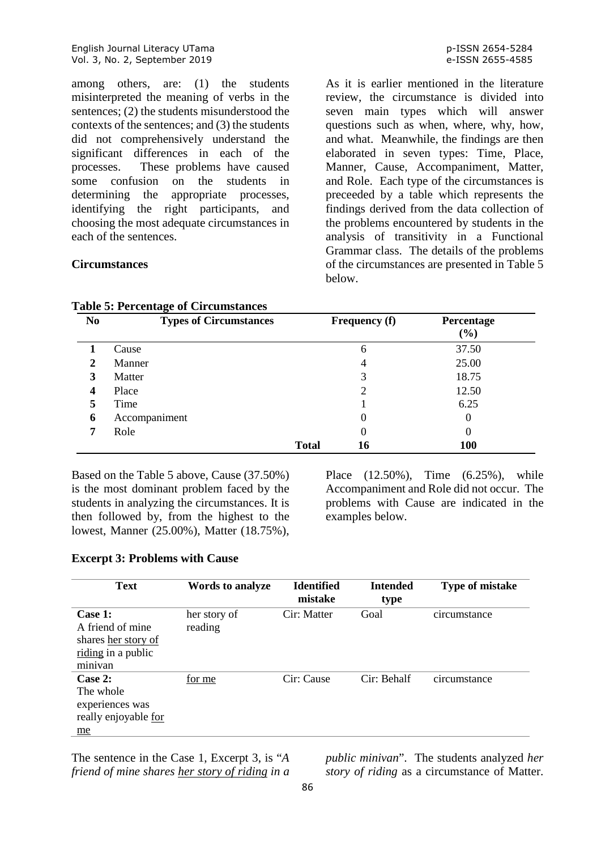among others, are: (1) the students misinterpreted the meaning of verbs in the sentences; (2) the students misunderstood the contexts of the sentences; and (3) the students did not comprehensively understand the significant differences in each of the processes. These problems have caused some confusion on the students in determining the appropriate processes, identifying the right participants, and choosing the most adequate circumstances in each of the sentences.

#### **Circumstances**

As it is earlier mentioned in the literature review, the circumstance is divided into seven main types which will answer questions such as when, where, why, how, and what. Meanwhile, the findings are then elaborated in seven types: Time, Place, Manner, Cause, Accompaniment, Matter, and Role. Each type of the circumstances is preceeded by a table which represents the findings derived from the data collection of the problems encountered by students in the analysis of transitivity in a Functional Grammar class. The details of the problems of the circumstances are presented in Table 5 below.

| N <sub>0</sub>   | <b>Types of Circumstances</b> |              | <b>Frequency (f)</b> | Percentage<br>$(\%)$ |
|------------------|-------------------------------|--------------|----------------------|----------------------|
|                  | Cause                         |              | 6                    | 37.50                |
| 2                | Manner                        |              | 4                    | 25.00                |
| 3                | Matter                        |              | 3                    | 18.75                |
| $\boldsymbol{4}$ | Place                         |              | ി                    | 12.50                |
|                  | Time                          |              |                      | 6.25                 |
| 6                | Accompaniment                 |              | 0                    | 0                    |
| 7                | Role                          |              | 0                    | $\left( \right)$     |
|                  |                               | <b>Total</b> | 16                   | <b>100</b>           |

#### **Table 5: Percentage of Circumstances**

Based on the Table 5 above, Cause (37.50%) is the most dominant problem faced by the students in analyzing the circumstances. It is then followed by, from the highest to the lowest, Manner (25.00%), Matter (18.75%),

Place (12.50%), Time (6.25%), while Accompaniment and Role did not occur. The problems with Cause are indicated in the examples below.

#### **Excerpt 3: Problems with Cause**

| <b>Text</b>                                                                         | <b>Words to analyze</b> | <b>Identified</b><br>mistake | <b>Intended</b><br>type | <b>Type of mistake</b> |
|-------------------------------------------------------------------------------------|-------------------------|------------------------------|-------------------------|------------------------|
| Case 1:<br>A friend of mine<br>shares her story of<br>riding in a public<br>minivan | her story of<br>reading | Cir: Matter                  | Goal                    | circumstance           |
| Case 2:<br>The whole<br>experiences was<br>really enjoyable for<br>me               | for me                  | Cir: Cause                   | Cir: Behalf             | circumstance           |

The sentence in the Case 1, Excerpt 3, is "*A friend of mine shares her story of riding in a*  *public minivan*". The students analyzed *her story of riding* as a circumstance of Matter.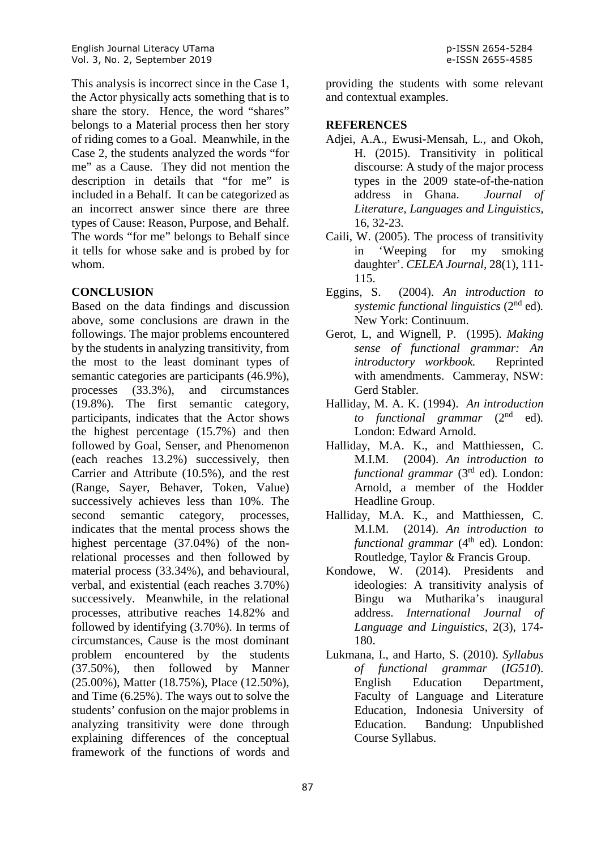This analysis is incorrect since in the Case 1, the Actor physically acts something that is to share the story. Hence, the word "shares" belongs to a Material process then her story of riding comes to a Goal. Meanwhile, in the Case 2, the students analyzed the words "for me" as a Cause. They did not mention the description in details that "for me" is included in a Behalf. It can be categorized as an incorrect answer since there are three types of Cause: Reason, Purpose, and Behalf. The words "for me" belongs to Behalf since it tells for whose sake and is probed by for whom.

## **CONCLUSION**

Based on the data findings and discussion above, some conclusions are drawn in the followings. The major problems encountered by the students in analyzing transitivity, from the most to the least dominant types of semantic categories are participants (46.9%), processes (33.3%), and circumstances (19.8%). The first semantic category, participants, indicates that the Actor shows the highest percentage (15.7%) and then followed by Goal, Senser, and Phenomenon (each reaches 13.2%) successively, then Carrier and Attribute (10.5%), and the rest (Range, Sayer, Behaver, Token, Value) successively achieves less than 10%. The second semantic category, processes, indicates that the mental process shows the highest percentage (37.04%) of the nonrelational processes and then followed by material process (33.34%), and behavioural, verbal, and existential (each reaches 3.70%) successively. Meanwhile, in the relational processes, attributive reaches 14.82% and followed by identifying (3.70%). In terms of circumstances, Cause is the most dominant problem encountered by the students (37.50%), then followed by Manner (25.00%), Matter (18.75%), Place (12.50%), and Time (6.25%). The ways out to solve the students' confusion on the major problems in analyzing transitivity were done through explaining differences of the conceptual framework of the functions of words and

providing the students with some relevant and contextual examples.

# **REFERENCES**

- Adjei, A.A., Ewusi-Mensah, L., and Okoh, H. (2015). Transitivity in political discourse: A study of the major process types in the 2009 state-of-the-nation address in Ghana. *Journal of Literature, Languages and Linguistics,* 16, 32-23.
- Caili, W. (2005). The process of transitivity in 'Weeping for my smoking daughter'. *CELEA Journal,* 28(1), 111- 115.
- Eggins, S. (2004). *An introduction to systemic functional linguistics* (2nd ed)*.* New York: Continuum.
- Gerot, L, and Wignell, P. (1995). *Making sense of functional grammar: An introductory workbook.* Reprinted with amendments. Cammeray, NSW: Gerd Stabler.
- Halliday, M. A. K. (1994). *An introduction to functional grammar* (2nd ed)*.* London: Edward Arnold.
- Halliday, M.A. K., and Matthiessen, C. M.I.M. (2004). *An introduction to functional grammar* (3<sup>rd</sup> ed). London: Arnold, a member of the Hodder Headline Group.
- Halliday, M.A. K., and Matthiessen, C. M.I.M. (2014). *An introduction to functional grammar* (4<sup>th</sup> ed). London: Routledge, Taylor & Francis Group.
- Kondowe, W. (2014). Presidents and ideologies: A transitivity analysis of Bingu wa Mutharika's inaugural address. *International Journal of Language and Linguistics,* 2(3), 174- 180.
- Lukmana, I., and Harto, S. (2010). *Syllabus of functional grammar* (*IG510*). English Education Department, Faculty of Language and Literature Education, Indonesia University of Education. Bandung: Unpublished Course Syllabus.